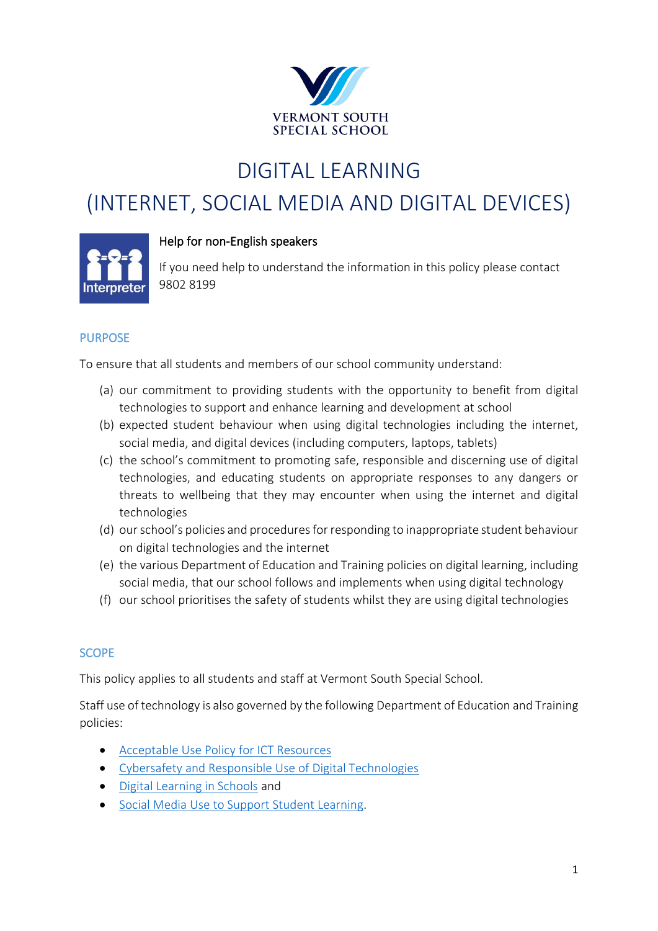

# DIGITAL LEARNING

# (INTERNET, SOCIAL MEDIA AND DIGITAL DEVICES)



#### Help for non-English speakers

If you need help to understand the information in this policy please contact 9802 8199

#### PURPOSE

To ensure that all students and members of our school community understand:

- (a) our commitment to providing students with the opportunity to benefit from digital technologies to support and enhance learning and development at school
- (b) expected student behaviour when using digital technologies including the internet, social media, and digital devices (including computers, laptops, tablets)
- (c) the school's commitment to promoting safe, responsible and discerning use of digital technologies, and educating students on appropriate responses to any dangers or threats to wellbeing that they may encounter when using the internet and digital technologies
- (d) our school's policies and procedures for responding to inappropriate student behaviour on digital technologies and the internet
- (e) the various Department of Education and Training policies on digital learning, including social media, that our school follows and implements when using digital technology
- (f) our school prioritises the safety of students whilst they are using digital technologies

#### **SCOPE**

This policy applies to all students and staff at Vermont South Special School.

Staff use of technology is also governed by the following Department of Education and Training policies:

- [Acceptable Use Policy](https://www2.education.vic.gov.au/pal/ict-acceptable-use/overview) for ICT Resources
- [Cybersafety and Responsible Use of Digital Technologies](https://www2.education.vic.gov.au/pal/cybersafety/policy)
- [Digital Learning in Schools](https://www2.education.vic.gov.au/pal/digital-learning/policy) and
- [Social Media Use to Support Student Learning.](https://www2.education.vic.gov.au/pal/social-media/policy)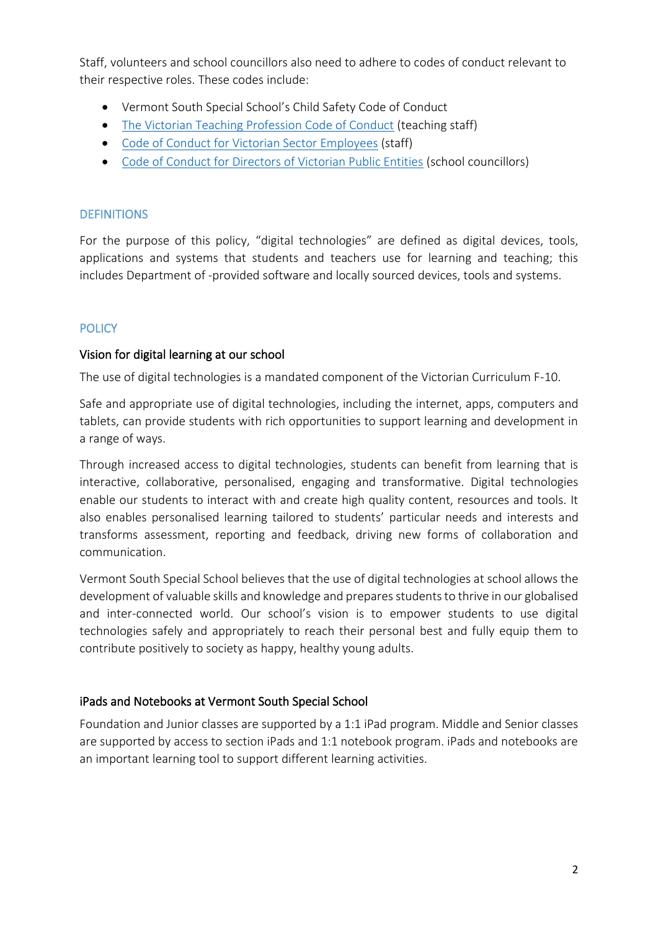Staff, volunteers and school councillors also need to adhere to codes of conduct relevant to their respective roles. These codes include:

- Vermont South Special School's Child Safety Code of Conduct
- [The Victorian Teaching Profession Code of Conduct](https://www.vit.vic.edu.au/__data/assets/pdf_file/0018/35604/Code-of-Conduct-2016.pdf) (teaching staff)
- [Code of Conduct for Victorian Sector Employees](https://www2.education.vic.gov.au/pal/code-conduct/overview) (staff)
- [Code of Conduct for Directors of Victorian Public Entities](https://www2.education.vic.gov.au/pal/school-council-conduct/policy) (school councillors)

# **DEFINITIONS**

For the purpose of this policy, "digital technologies" are defined as digital devices, tools, applications and systems that students and teachers use for learning and teaching; this includes Department of -provided software and locally sourced devices, tools and systems.

# **POLICY**

### Vision for digital learning at our school

The use of digital technologies is a mandated component of the Victorian Curriculum F-10.

Safe and appropriate use of digital technologies, including the internet, apps, computers and tablets, can provide students with rich opportunities to support learning and development in a range of ways.

Through increased access to digital technologies, students can benefit from learning that is interactive, collaborative, personalised, engaging and transformative. Digital technologies enable our students to interact with and create high quality content, resources and tools. It also enables personalised learning tailored to students' particular needs and interests and transforms assessment, reporting and feedback, driving new forms of collaboration and communication.

Vermont South Special School believes that the use of digital technologies at school allows the development of valuable skills and knowledge and prepares students to thrive in our globalised and inter-connected world. Our school's vision is to empower students to use digital technologies safely and appropriately to reach their personal best and fully equip them to contribute positively to society as happy, healthy young adults.

### iPads and Notebooks at Vermont South Special School

Foundation and Junior classes are supported by a 1:1 iPad program. Middle and Senior classes are supported by access to section iPads and 1:1 notebook program. iPads and notebooks are an important learning tool to support different learning activities.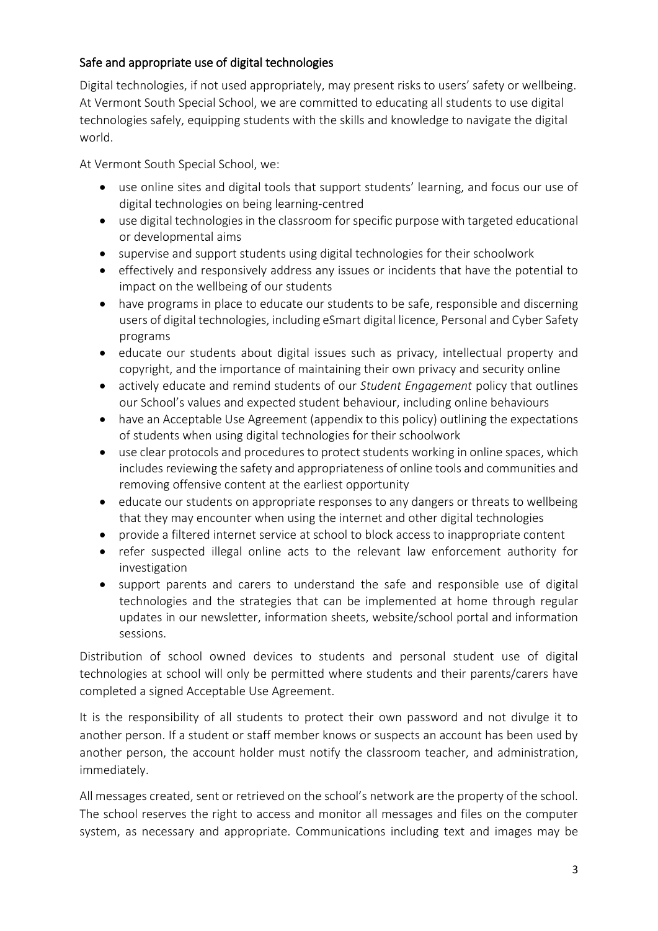# Safe and appropriate use of digital technologies

Digital technologies, if not used appropriately, may present risks to users' safety or wellbeing. At Vermont South Special School, we are committed to educating all students to use digital technologies safely, equipping students with the skills and knowledge to navigate the digital world.

At Vermont South Special School, we:

- use online sites and digital tools that support students' learning, and focus our use of digital technologies on being learning-centred
- use digital technologies in the classroom for specific purpose with targeted educational or developmental aims
- supervise and support students using digital technologies for their schoolwork
- effectively and responsively address any issues or incidents that have the potential to impact on the wellbeing of our students
- have programs in place to educate our students to be safe, responsible and discerning users of digital technologies, including eSmart digital licence, Personal and Cyber Safety programs
- educate our students about digital issues such as privacy, intellectual property and copyright, and the importance of maintaining their own privacy and security online
- actively educate and remind students of our *Student Engagement* policy that outlines our School's values and expected student behaviour, including online behaviours
- have an Acceptable Use Agreement (appendix to this policy) outlining the expectations of students when using digital technologies for their schoolwork
- use clear protocols and procedures to protect students working in online spaces, which includes reviewing the safety and appropriateness of online tools and communities and removing offensive content at the earliest opportunity
- educate our students on appropriate responses to any dangers or threats to wellbeing that they may encounter when using the internet and other digital technologies
- provide a filtered internet service at school to block access to inappropriate content
- refer suspected illegal online acts to the relevant law enforcement authority for investigation
- support parents and carers to understand the safe and responsible use of digital technologies and the strategies that can be implemented at home through regular updates in our newsletter, information sheets, website/school portal and information sessions.

Distribution of school owned devices to students and personal student use of digital technologies at school will only be permitted where students and their parents/carers have completed a signed Acceptable Use Agreement.

It is the responsibility of all students to protect their own password and not divulge it to another person. If a student or staff member knows or suspects an account has been used by another person, the account holder must notify the classroom teacher, and administration, immediately.

All messages created, sent or retrieved on the school's network are the property of the school. The school reserves the right to access and monitor all messages and files on the computer system, as necessary and appropriate. Communications including text and images may be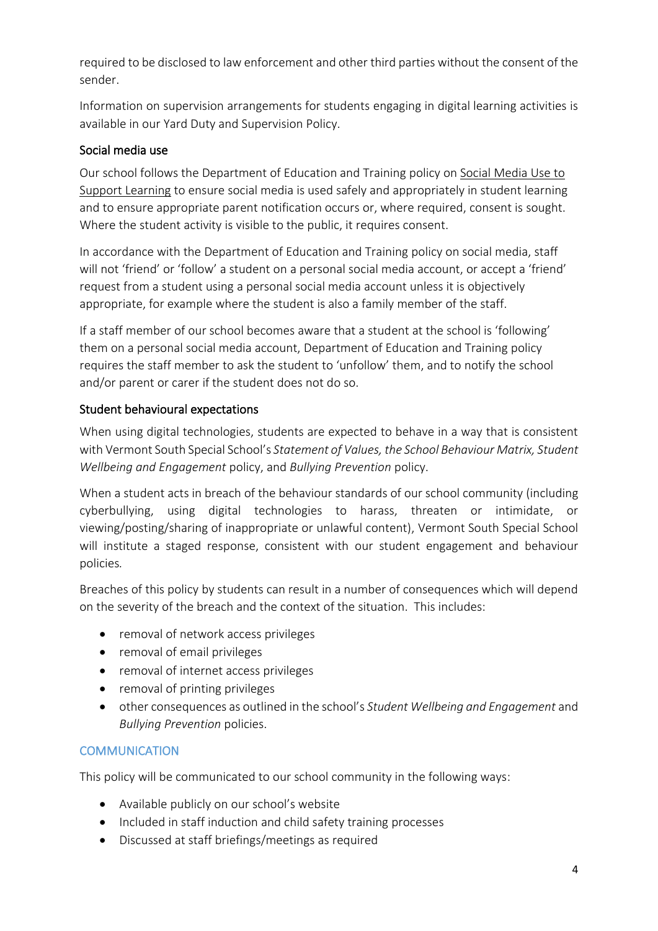required to be disclosed to law enforcement and other third parties without the consent of the sender.

Information on supervision arrangements for students engaging in digital learning activities is available in our Yard Duty and Supervision Policy.

### Social media use

Our school follows the Department of Education and Training policy on [Social Media Use to](https://www2.education.vic.gov.au/pal/social-media/policy)  [Support Learning](https://www2.education.vic.gov.au/pal/social-media/policy) to ensure social media is used safely and appropriately in student learning and to ensure appropriate parent notification occurs or, where required, consent is sought. Where the student activity is visible to the public, it requires consent.

In accordance with the Department of Education and Training policy on social media, staff will not 'friend' or 'follow' a student on a personal social media account, or accept a 'friend' request from a student using a personal social media account unless it is objectively appropriate, for example where the student is also a family member of the staff.

If a staff member of our school becomes aware that a student at the school is 'following' them on a personal social media account, Department of Education and Training policy requires the staff member to ask the student to 'unfollow' them, and to notify the school and/or parent or carer if the student does not do so.

# Student behavioural expectations

When using digital technologies, students are expected to behave in a way that is consistent with Vermont South Special School's *Statement of Values, the School Behaviour Matrix, Student Wellbeing and Engagement* policy, and *Bullying Prevention* policy.

When a student acts in breach of the behaviour standards of our school community (including cyberbullying, using digital technologies to harass, threaten or intimidate, or viewing/posting/sharing of inappropriate or unlawful content), Vermont South Special School will institute a staged response, consistent with our student engagement and behaviour policies*.*

Breaches of this policy by students can result in a number of consequences which will depend on the severity of the breach and the context of the situation. This includes:

- removal of network access privileges
- removal of email privileges
- removal of internet access privileges
- removal of printing privileges
- other consequences as outlined in the school's *Student Wellbeing and Engagement* and *Bullying Prevention* policies.

# **COMMUNICATION**

This policy will be communicated to our school community in the following ways:

- Available publicly on our school's website
- Included in staff induction and child safety training processes
- Discussed at staff briefings/meetings as required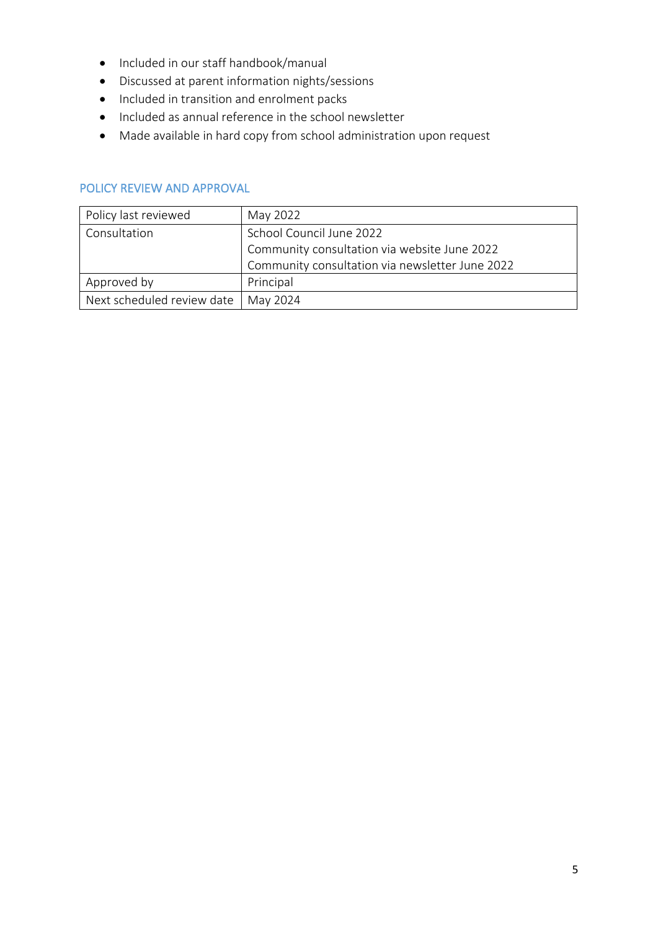- Included in our staff handbook/manual
- Discussed at parent information nights/sessions
- Included in transition and enrolment packs
- Included as annual reference in the school newsletter
- Made available in hard copy from school administration upon request

#### POLICY REVIEW AND APPROVAL

| Policy last reviewed       | May 2022                                        |
|----------------------------|-------------------------------------------------|
| Consultation               | School Council June 2022                        |
|                            | Community consultation via website June 2022    |
|                            | Community consultation via newsletter June 2022 |
| Approved by                | Principal                                       |
| Next scheduled review date | May 2024                                        |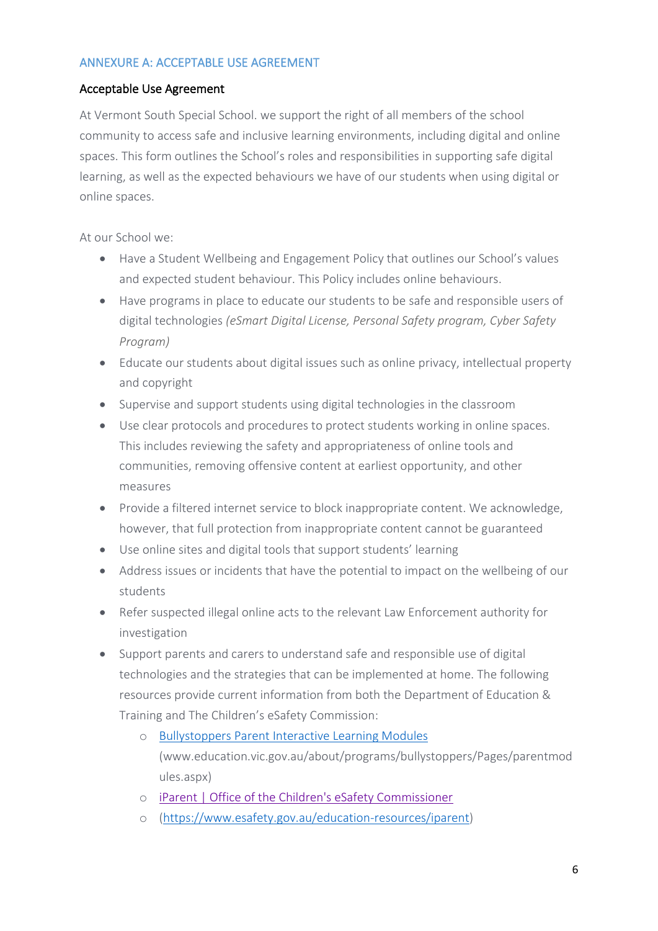#### ANNEXURE A: ACCEPTABLE USE AGREEMENT

#### Acceptable Use Agreement

At Vermont South Special School. we support the right of all members of the school community to access safe and inclusive learning environments, including digital and online spaces. This form outlines the School's roles and responsibilities in supporting safe digital learning, as well as the expected behaviours we have of our students when using digital or online spaces.

At our School we:

- Have a Student Wellbeing and Engagement Policy that outlines our School's values and expected student behaviour. This Policy includes online behaviours.
- Have programs in place to educate our students to be safe and responsible users of digital technologies *(eSmart Digital License, Personal Safety program, Cyber Safety Program)*
- Educate our students about digital issues such as online privacy, intellectual property and copyright
- Supervise and support students using digital technologies in the classroom
- Use clear protocols and procedures to protect students working in online spaces. This includes reviewing the safety and appropriateness of online tools and communities, removing offensive content at earliest opportunity, and other measures
- Provide a filtered internet service to block inappropriate content. We acknowledge, however, that full protection from inappropriate content cannot be guaranteed
- Use online sites and digital tools that support students' learning
- Address issues or incidents that have the potential to impact on the wellbeing of our students
- Refer suspected illegal online acts to the relevant Law Enforcement authority for investigation
- Support parents and carers to understand safe and responsible use of digital technologies and the strategies that can be implemented at home. The following resources provide current information from both the [Department of Education &](http://www.education.vic.gov.au/about/programs/bullystoppers/Pages/parentmodules.aspx)  [Training](http://www.education.vic.gov.au/about/programs/bullystoppers/Pages/parentmodules.aspx) and The Children's eSafety Commission:
	- o [Bullystoppers Parent Interactive Learning Modules](http://www.education.vic.gov.au/about/programs/bullystoppers/Pages/parentmodules.aspx) [\(www.education.vic.gov.au/about/programs/bullystoppers/Pages/parentmod](http://www.education.vic.gov.au/about/programs/bullystoppers/Pages/parentmodules.aspx) [ules.aspx\)](http://www.education.vic.gov.au/about/programs/bullystoppers/Pages/parentmodules.aspx)
	- o [iParent | Office of the Children's eSafety Commissioner](https://www.esafety.gov.au/education-resources/iparent)
	- o [\(https://www.esafety.gov.au/education-resources/iparent\)](https://www.esafety.gov.au/education-resources/iparent)